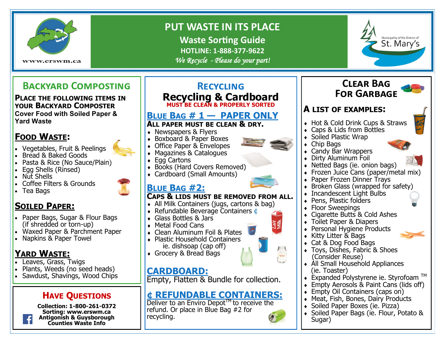

# **PUT WASTE IN ITS PLACE**

**Waste Sorting Guide HOTLINE: 1-888-377-9622** *We Recycle - Please do your part!* 



# **Backyard Composting**

**PLACE THE FOLLOWING ITEMS IN YOUR BACKYARD COMPOSTER Cover Food with Soiled Paper & Yard Waste**

## **FOOD WASTE:**

- Vegetables, Fruit & Peelings
- Bread & Baked Goods
- Pasta & Rice (No Sauce/Plain)
- Egg Shells (Rinsed)
- Nut Shells
- Coffee Filters & Grounds
- Tea Bags

# **SOILED PAPER:**

- Paper Bags, Sugar & Flour Bags (if shredded or torn-up)
- Waxed Paper & Parchment Paper
- Napkins & Paper Towel

# **YARD WASTE:**

- Leaves, Grass, Twigs
- Plants, Weeds (no seed heads)
- Sawdust, Shavings, Wood Chips

### **HAVE QUESTIONS**

**Collection: 1-800-261-0372 Sorting: www.erswm.ca Antigonish & Guysborough Counties Waste Info**

#### **Recycling Recycling & Cardboard MUST BE CLEAN & PROPERLY SORTED BLUE BAG # 1 — PAPER ONLY ALL PAPER MUST BE CLEAN & DRY.**  • Newspapers & Flyers ◆ Boxboard & Paper Boxes • Office Paper & Envelopes Magazines & Catalogues ◆ Egg Cartons ◆ Books (Hard Covers Removed) Cardboard (Small Amounts) **BLUE BAG #2: CAPS & LIDS MUST BE REMOVED FROM ALL.** All Milk Containers (jugs, cartons & bag) ◆ Refundable Beverage Containers  $\mathbf{\Phi}$  Glass Bottles & Jars Metal Food Cans • Clean Aluminum Foil & Plates ◆ Plastic Household Containers ie. dishsoap (cap off) Grocery & Bread Bags **CARDBOARD:** Empty, Flatten & Bundle for collection. **¢ REFUNDABLE CONTAINERS:**

Deliver to an Enviro Depot<sup>TM</sup> to receive the refund. Or place in Blue Bag #2 for recycling.